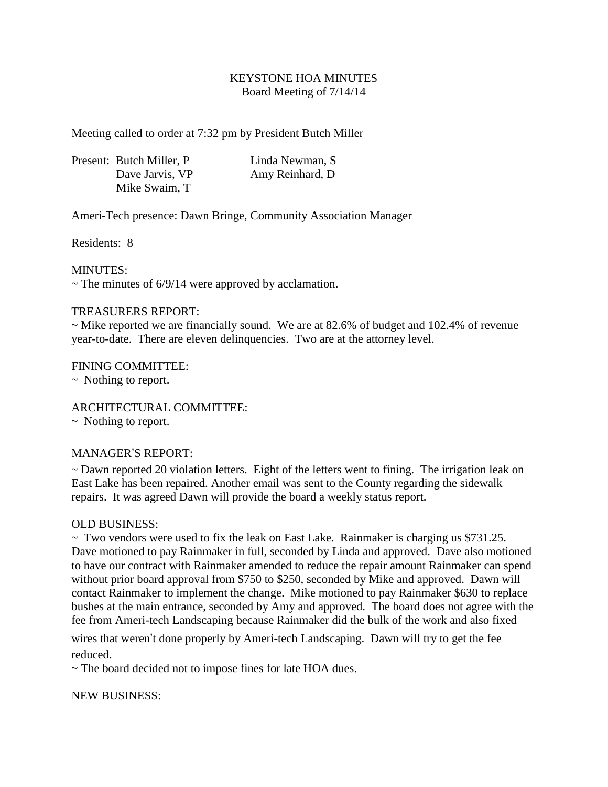## KEYSTONE HOA MINUTES Board Meeting of 7/14/14

Meeting called to order at 7:32 pm by President Butch Miller

|  | Present: Butch Miller, P. | Linda Newman, S |
|--|---------------------------|-----------------|
|  | Dave Jarvis, VP           | Amy Reinhard, D |
|  | Mike Swaim, T             |                 |

Ameri-Tech presence: Dawn Bringe, Community Association Manager

Residents: 8

MINUTES:

 $\sim$  The minutes of 6/9/14 were approved by acclamation.

## TREASURERS REPORT:

~ Mike reported we are financially sound. We are at 82.6% of budget and 102.4% of revenue year-to-date. There are eleven delinquencies. Two are at the attorney level.

FINING COMMITTEE:

~ Nothing to report.

ARCHITECTURAL COMMITTEE:

~ Nothing to report.

## MANAGER'S REPORT:

~ Dawn reported 20 violation letters. Eight of the letters went to fining. The irrigation leak on East Lake has been repaired. Another email was sent to the County regarding the sidewalk repairs. It was agreed Dawn will provide the board a weekly status report.

## OLD BUSINESS:

 $\sim$  Two vendors were used to fix the leak on East Lake. Rainmaker is charging us \$731.25. Dave motioned to pay Rainmaker in full, seconded by Linda and approved. Dave also motioned to have our contract with Rainmaker amended to reduce the repair amount Rainmaker can spend without prior board approval from \$750 to \$250, seconded by Mike and approved. Dawn will contact Rainmaker to implement the change. Mike motioned to pay Rainmaker \$630 to replace bushes at the main entrance, seconded by Amy and approved. The board does not agree with the fee from Ameri-tech Landscaping because Rainmaker did the bulk of the work and also fixed

wires that weren't done properly by Ameri-tech Landscaping. Dawn will try to get the fee reduced.

~ The board decided not to impose fines for late HOA dues.

NEW BUSINESS: